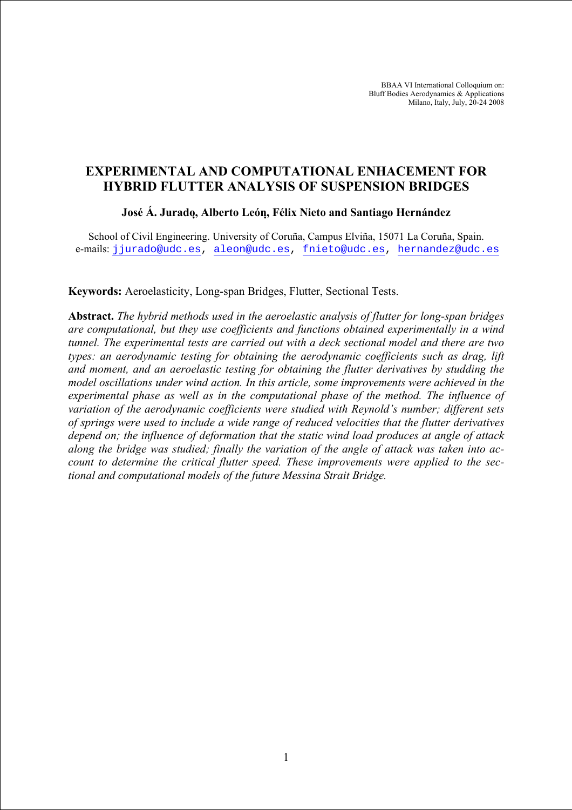BBAA VI International Colloquium on: Bluff Bodies Aerodynamics & Applications Milano, Italy, July, 20-24 2008

# **EXPERIMENTAL AND COMPUTATIONAL ENHACEMENT FOR HYBRID FLUTTER ANALYSIS OF SUSPENSION BRIDGES**

### **José Á. Jurado, Alberto León, Félix Nieto and Santiago Hernández**

School of Civil Engineering. University of Coruña, Campus Elviña, 15071 La Coruña, Spain. e-mails: [jjurado@udc.es](mailto:jjurado@udc.es), [aleon@udc.es,](mailto:aleon@udc.es) [fnieto@udc.es,](mailto:aleon@udc.es) [hernandez@udc.es](mailto:aleon@udc.es)

### **Keywords:** Aeroelasticity, Long-span Bridges, Flutter, Sectional Tests.

**Abstract.** *The hybrid methods used in the aeroelastic analysis of flutter for long-span bridges are computational, but they use coefficients and functions obtained experimentally in a wind tunnel. The experimental tests are carried out with a deck sectional model and there are two types: an aerodynamic testing for obtaining the aerodynamic coefficients such as drag, lift and moment, and an aeroelastic testing for obtaining the flutter derivatives by studding the model oscillations under wind action. In this article, some improvements were achieved in the experimental phase as well as in the computational phase of the method. The influence of variation of the aerodynamic coefficients were studied with Reynold's number; different sets of springs were used to include a wide range of reduced velocities that the flutter derivatives depend on; the influence of deformation that the static wind load produces at angle of attack along the bridge was studied; finally the variation of the angle of attack was taken into account to determine the critical flutter speed. These improvements were applied to the sectional and computational models of the future Messina Strait Bridge.*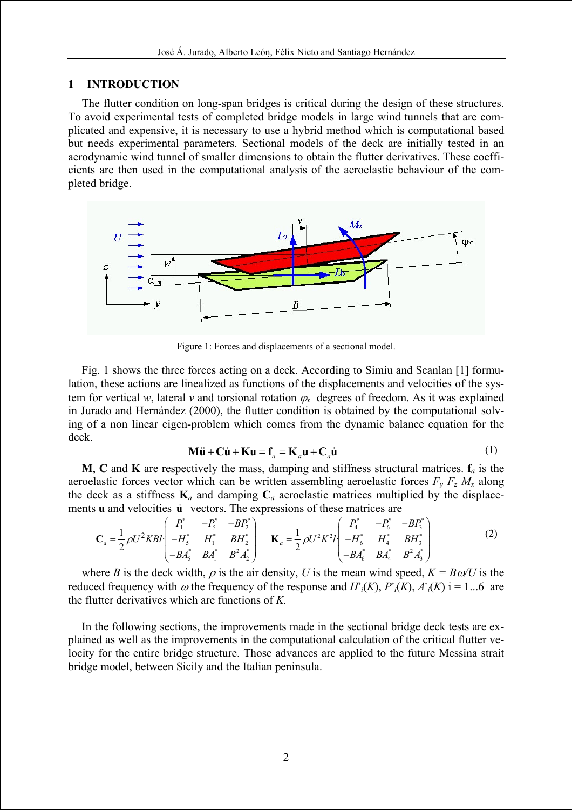### **1 INTRODUCTION**

The flutter condition on long-span bridges is critical during the design of these structures. To avoid experimental tests of completed bridge models in large wind tunnels that are complicated and expensive, it is necessary to use a hybrid method which is computational based but needs experimental parameters. Sectional models of the deck are initially tested in an aerodynamic wind tunnel of smaller dimensions to obtain the flutter derivatives. These coefficients are then used in the computational analysis of the aeroelastic behaviour of the completed bridge.



Figure 1: Forces and displacements of a sectional model.

Fig. 1 shows the three forces acting on a deck. According to Simiu and Scanlan [1] formulation, these actions are linealized as functions of the displacements and velocities of the system for vertical *w*, lateral *v* and torsional rotation  $\varphi$ <sup>*x*</sup> degrees of freedom. As it was explained in Jurado and Hernández (2000), the flutter condition is obtained by the computational solving of a non linear eigen-problem which comes from the dynamic balance equation for the deck.

$$
\mathbf{M}\ddot{\mathbf{u}} + \mathbf{C}\dot{\mathbf{u}} + \mathbf{K}\mathbf{u} = \mathbf{f}_a = \mathbf{K}_a \mathbf{u} + \mathbf{C}_a \dot{\mathbf{u}} \tag{1}
$$

**M**, **C** and **K** are respectively the mass, damping and stiffness structural matrices.  $f_a$  is the aeroelastic forces vector which can be written assembling aeroelastic forces  $F_y F_z M_x$  along the deck as a stiffness  $\mathbf{K}_a$  and damping  $\mathbf{C}_a$  aeroelastic matrices multiplied by the displacements **u** and velocities **u** vectors. The expressions of these matrices are

$$
\mathbf{C}_{a} = \frac{1}{2} \rho U^{2} K B l \begin{pmatrix} P_{1}^{*} & -P_{5}^{*} & -B P_{2}^{*} \\ -H_{5}^{*} & H_{1}^{*} & B H_{2}^{*} \\ -B A_{5}^{*} & B A_{1}^{*} & B^{2} A_{2}^{*} \end{pmatrix} \quad \mathbf{K}_{a} = \frac{1}{2} \rho U^{2} K^{2} l \begin{pmatrix} P_{4}^{*} & -P_{6}^{*} & -B P_{3}^{*} \\ -H_{6}^{*} & H_{4}^{*} & B H_{3}^{*} \\ -B A_{6}^{*} & B A_{4}^{*} & B^{2} A_{3}^{*} \end{pmatrix}
$$
 (2)

where *B* is the deck width,  $\rho$  is the air density, *U* is the mean wind speed,  $K = B\omega/U$  is the reduced frequency with  $\omega$  the frequency of the response and  $H^*(K)$ ,  $P^*(K)$ ,  $A^*(K)$  i = 1...6 are the flutter derivatives which are functions of *K.*

In the following sections, the improvements made in the sectional bridge deck tests are explained as well as the improvements in the computational calculation of the critical flutter velocity for the entire bridge structure. Those advances are applied to the future Messina strait bridge model, between Sicily and the Italian peninsula.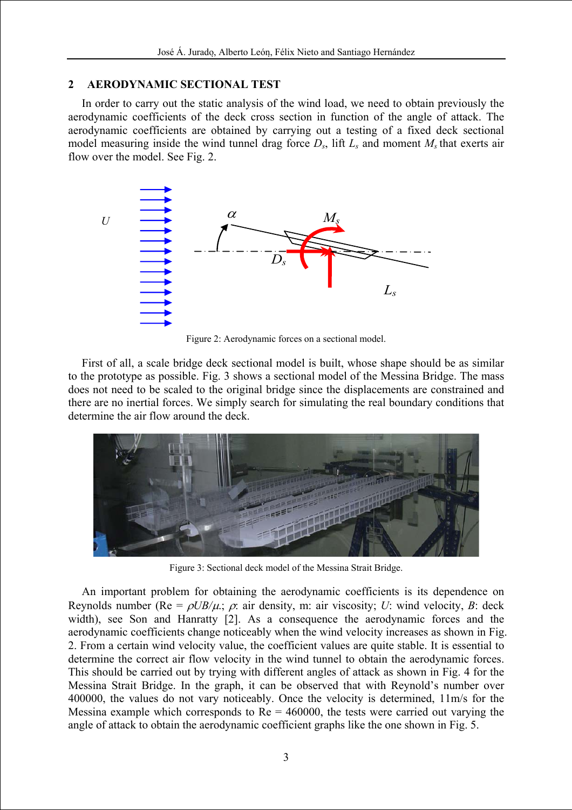# **2 AERODYNAMIC SECTIONAL TEST**

In order to carry out the static analysis of the wind load, we need to obtain previously the aerodynamic coefficients of the deck cross section in function of the angle of attack. The aerodynamic coefficients are obtained by carrying out a testing of a fixed deck sectional model measuring inside the wind tunnel drag force  $D_s$ , lift  $L_s$  and moment  $M_s$  that exerts air flow over the model. See Fig. 2.



Figure 2: Aerodynamic forces on a sectional model.

First of all, a scale bridge deck sectional model is built, whose shape should be as similar to the prototype as possible. Fig. 3 shows a sectional model of the Messina Bridge. The mass does not need to be scaled to the original bridge since the displacements are constrained and there are no inertial forces. We simply search for simulating the real boundary conditions that determine the air flow around the deck.



Figure 3: Sectional deck model of the Messina Strait Bridge.

An important problem for obtaining the aerodynamic coefficients is its dependence on Reynolds number ( $Re = \rho U B/\mu$ .;  $\rho$ : air density, m: air viscosity; *U*: wind velocity, *B*: deck width), see Son and Hanratty [2]. As a consequence the aerodynamic forces and the aerodynamic coefficients change noticeably when the wind velocity increases as shown in Fig. 2. From a certain wind velocity value, the coefficient values are quite stable. It is essential to determine the correct air flow velocity in the wind tunnel to obtain the aerodynamic forces. This should be carried out by trying with different angles of attack as shown in Fig. 4 for the Messina Strait Bridge. In the graph, it can be observed that with Reynold's number over 400000, the values do not vary noticeably. Once the velocity is determined, 11m/s for the Messina example which corresponds to  $Re = 460000$ , the tests were carried out varying the angle of attack to obtain the aerodynamic coefficient graphs like the one shown in Fig. 5.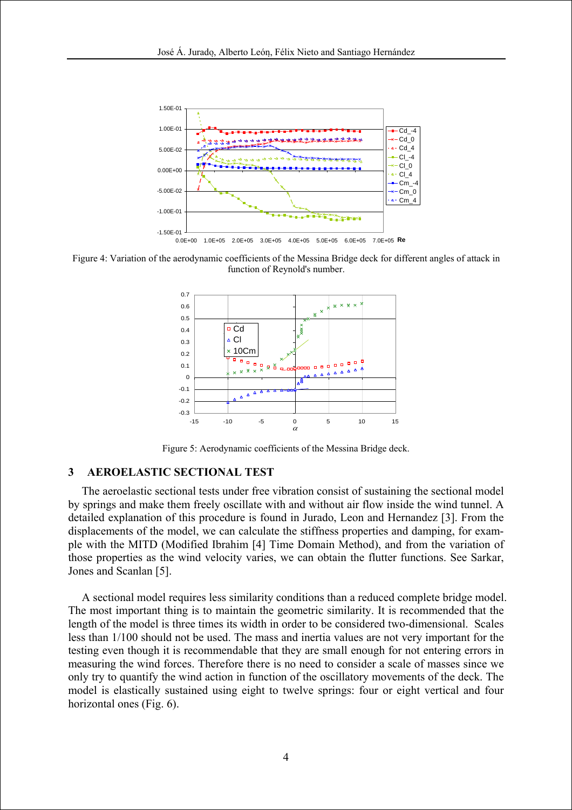

Figure 4: Variation of the aerodynamic coefficients of the Messina Bridge deck for different angles of attack in function of Reynold's number.



Figure 5: Aerodynamic coefficients of the Messina Bridge deck.

#### **3 AEROELASTIC SECTIONAL TEST**

The aeroelastic sectional tests under free vibration consist of sustaining the sectional model by springs and make them freely oscillate with and without air flow inside the wind tunnel. A detailed explanation of this procedure is found in Jurado, Leon and Hernandez [3]. From the displacements of the model, we can calculate the stiffness properties and damping, for example with the MITD (Modified Ibrahim [4] Time Domain Method), and from the variation of those properties as the wind velocity varies, we can obtain the flutter functions. See Sarkar, Jones and Scanlan [5].

A sectional model requires less similarity conditions than a reduced complete bridge model. The most important thing is to maintain the geometric similarity. It is recommended that the length of the model is three times its width in order to be considered two-dimensional. Scales less than 1/100 should not be used. The mass and inertia values are not very important for the testing even though it is recommendable that they are small enough for not entering errors in measuring the wind forces. Therefore there is no need to consider a scale of masses since we only try to quantify the wind action in function of the oscillatory movements of the deck. The model is elastically sustained using eight to twelve springs: four or eight vertical and four horizontal ones (Fig. 6).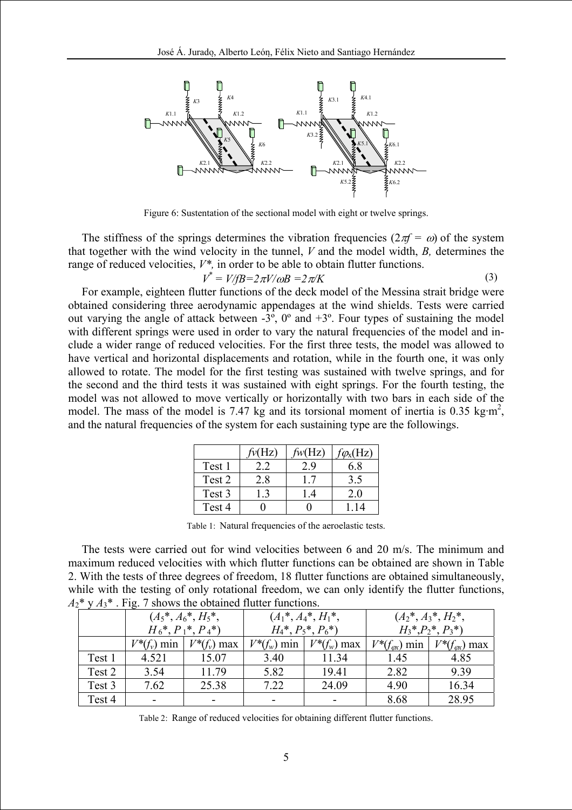

Figure 6: Sustentation of the sectional model with eight or twelve springs.

The stiffness of the springs determines the vibration frequencies ( $2\pi f = \omega$ ) of the system that together with the wind velocity in the tunnel, *V* and the model width, *B,* determines the range of reduced velocities,  $V^*$ , in order to be able to obtain flutter functions.

$$
V^* = V/fB = 2\pi V/\omega B = 2\pi/K\tag{3}
$$

For example, eighteen flutter functions of the deck model of the Messina strait bridge were obtained considering three aerodynamic appendages at the wind shields. Tests were carried out varying the angle of attack between -3º, 0º and +3º. Four types of sustaining the model with different springs were used in order to vary the natural frequencies of the model and include a wider range of reduced velocities. For the first three tests, the model was allowed to have vertical and horizontal displacements and rotation, while in the fourth one, it was only allowed to rotate. The model for the first testing was sustained with twelve springs, and for the second and the third tests it was sustained with eight springs. For the fourth testing, the model was not allowed to move vertically or horizontally with two bars in each side of the model. The mass of the model is 7.47 kg and its torsional moment of inertia is 0.35 kg·m<sup>2</sup>, and the natural frequencies of the system for each sustaining type are the followings.

|        | $f_v(Hz)$  | $f_{W}(Hz)$   | $f\mathcal{O}_X(HZ)$ |
|--------|------------|---------------|----------------------|
| Test 1 |            | , y           | 6.8                  |
| Test 2 | 2.8        | $\mid$ 7      | 3.5                  |
| Test 3 | $\sqrt{3}$ | $\mathcal{A}$ | 2.0                  |
| Test 4 |            |               | 14                   |

Table 1: Natural frequencies of the aeroelastic tests.

The tests were carried out for wind velocities between 6 and 20 m/s. The minimum and maximum reduced velocities with which flutter functions can be obtained are shown in Table 2. With the tests of three degrees of freedom, 18 flutter functions are obtained simultaneously, while with the testing of only rotational freedom, we can only identify the flutter functions,  $A_2^*$  y  $A_3^*$ . Fig. 7 shows the obtained flutter functions.

|        | $(A_5^*, A_6^*, H_5^*,$ |                | $(A_1^*, A_4^*, H_1^*,$ |                | $(A_2^*, A_3^*, H_2^*,$ |                                                   |
|--------|-------------------------|----------------|-------------------------|----------------|-------------------------|---------------------------------------------------|
|        | $H_6^*, P_1^*, P_4^*)$  |                | $H_4^*, P_5^*, P_6^*$   |                | $H_3^*, P_2^*, P_3^*$   |                                                   |
|        | $V^*(f_v)$ min          | $V^*(f_v)$ max | $V^*(f_w)$ min          | $V^*(f_w)$ max |                         | $V^*(f_{\alpha x})$ min   $V^*(f_{\alpha x})$ max |
| Test 1 | 4.521                   | 15.07          | 3.40                    | 11.34          | 1.45                    | 4.85                                              |
| Test 2 | 3.54                    | 11.79          | 5.82                    | 19.41          | 2.82                    | 9.39                                              |
| Test 3 | 7.62                    | 25.38          | 7.22                    | 24.09          | 4.90                    | 16.34                                             |
| Test 4 | -                       |                |                         |                | 8.68                    | 28.95                                             |

Table 2: Range of reduced velocities for obtaining different flutter functions.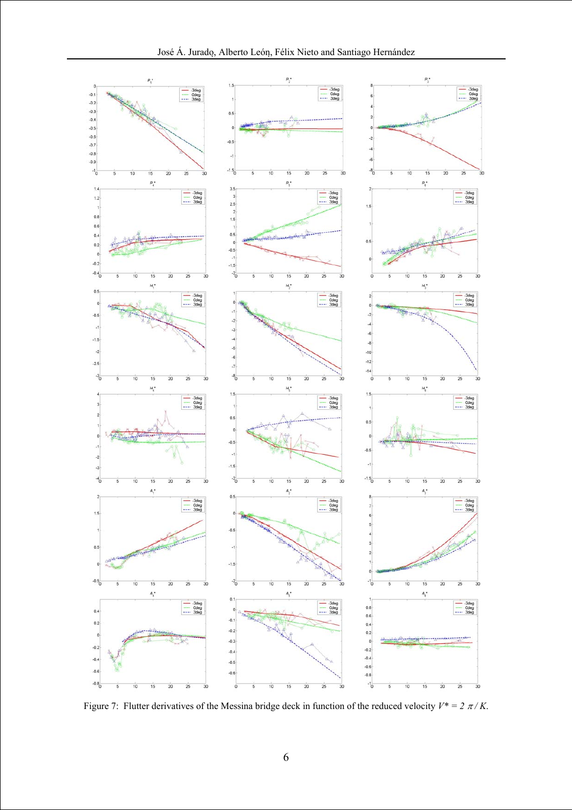

Figure 7: Flutter derivatives of the Messina bridge deck in function of the reduced velocity  $V^* = 2 \pi / K$ .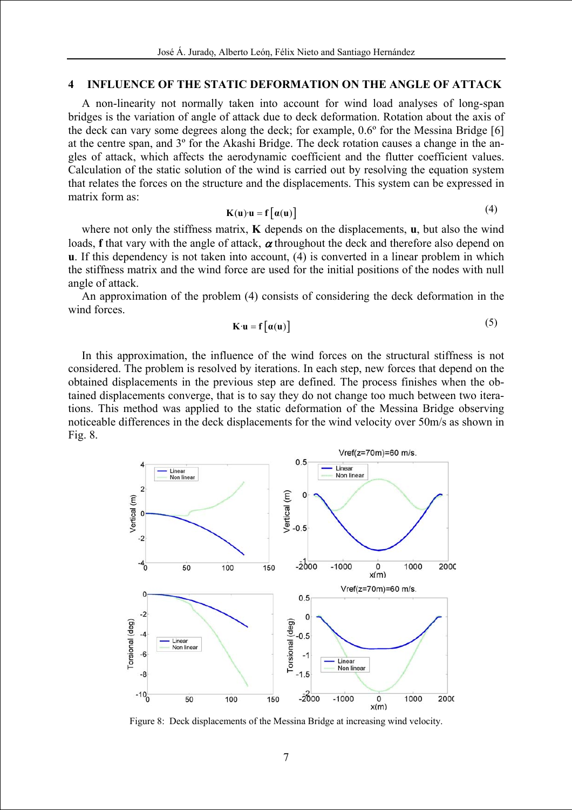#### **4 INFLUENCE OF THE STATIC DEFORMATION ON THE ANGLE OF ATTACK**

A non-linearity not normally taken into account for wind load analyses of long-span bridges is the variation of angle of attack due to deck deformation. Rotation about the axis of the deck can vary some degrees along the deck; for example, 0.6º for the Messina Bridge [6] at the centre span, and 3º for the Akashi Bridge. The deck rotation causes a change in the angles of attack, which affects the aerodynamic coefficient and the flutter coefficient values. Calculation of the static solution of the wind is carried out by resolving the equation system that relates the forces on the structure and the displacements. This system can be expressed in matrix form as:

$$
K(u) \cdot u = f\big[\alpha(u)\big] \tag{4}
$$

where not only the stiffness matrix, **K** depends on the displacements, **u**, but also the wind loads, **f** that vary with the angle of attack,  $\alpha$  throughout the deck and therefore also depend on **u**. If this dependency is not taken into account, (4) is converted in a linear problem in which the stiffness matrix and the wind force are used for the initial positions of the nodes with null angle of attack.

An approximation of the problem (4) consists of considering the deck deformation in the wind forces.

$$
\mathbf{K} \cdot \mathbf{u} = \mathbf{f} \left[ \alpha(\mathbf{u}) \right] \tag{5}
$$

In this approximation, the influence of the wind forces on the structural stiffness is not considered. The problem is resolved by iterations. In each step, new forces that depend on the obtained displacements in the previous step are defined. The process finishes when the obtained displacements converge, that is to say they do not change too much between two iterations. This method was applied to the static deformation of the Messina Bridge observing noticeable differences in the deck displacements for the wind velocity over 50m/s as shown in Fig. 8.



Figure 8: Deck displacements of the Messina Bridge at increasing wind velocity.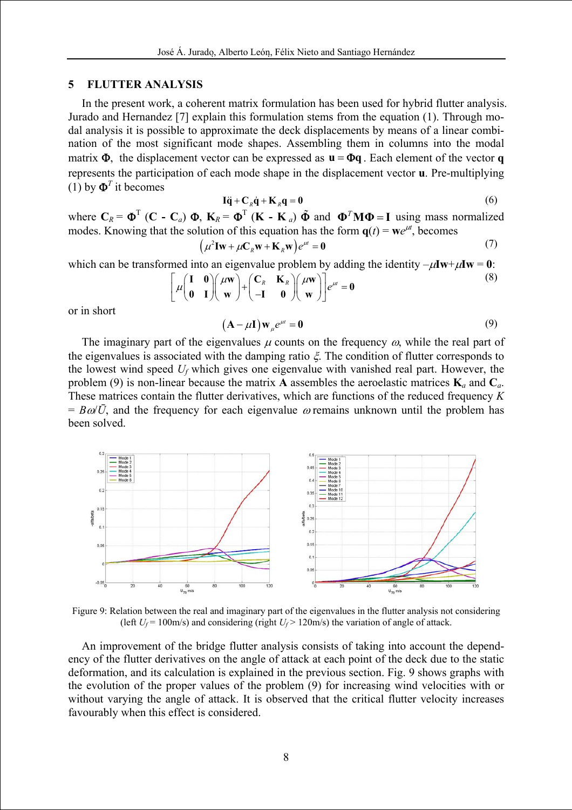#### **5 FLUTTER ANALYSIS**

In the present work, a coherent matrix formulation has been used for hybrid flutter analysis. Jurado and Hernandez [7] explain this formulation stems from the equation (1). Through modal analysis it is possible to approximate the deck displacements by means of a linear combination of the most significant mode shapes. Assembling them in columns into the modal matrix  $\Phi$ , the displacement vector can be expressed as  $\mathbf{u} = \Phi \mathbf{q}$ . Each element of the vector **q** represents the participation of each mode shape in the displacement vector **u**. Pre-multiplying (1) by  $\mathbf{\Phi}^T$  it becomes

$$
I\ddot{q} + C_R \dot{q} + K_R q = 0 \tag{6}
$$

where  $C_R = \Phi^T$  (**C** -  $C_a$ )  $\Phi$ ,  $K_R = \Phi^T$  (**K** - **K** *a*)  $\tilde{\Phi}$  and  $\Phi^T M \Phi = I$  using mass normalized modes. Knowing that the solution of this equation has the form  $\mathbf{q}(t) = \mathbf{w}e^{\mu t}$ , becomes

$$
\left(\mu^2 \mathbf{I} \mathbf{w} + \mu \mathbf{C}_R \mathbf{w} + \mathbf{K}_R \mathbf{w}\right) e^{\mu t} = \mathbf{0} \tag{7}
$$

which can be transformed into an eigenvalue problem by adding the identity  $-\mu Iw + \mu Iw = 0$ :

$$
\left[\mu \begin{pmatrix} \mathbf{I} & \mathbf{0} \\ \mathbf{0} & \mathbf{I} \end{pmatrix} \begin{pmatrix} \mu \mathbf{w} \\ \mathbf{w} \end{pmatrix} + \begin{pmatrix} \mathbf{C}_R & \mathbf{K}_R \\ -\mathbf{I} & \mathbf{0} \end{pmatrix} \begin{pmatrix} \mu \mathbf{w} \\ \mathbf{w} \end{pmatrix} \right] e^{\mu t} = \mathbf{0}
$$
\n(8)

or in short

$$
(\mathbf{A} - \mu \mathbf{I}) \mathbf{w}_{\mu} e^{\mu t} = \mathbf{0}
$$
 (9)

The imaginary part of the eigenvalues  $\mu$  counts on the frequency  $\omega$ , while the real part of the eigenvalues is associated with the damping ratio  $\xi$ . The condition of flutter corresponds to the lowest wind speed *Uf* which gives one eigenvalue with vanished real part. However, the problem (9) is non-linear because the matrix **A** assembles the aeroelastic matrices  $\mathbf{K}_a$  and  $\mathbf{C}_a$ . These matrices contain the flutter derivatives, which are functions of the reduced frequency *K*  $= B\omega/\bar{U}$ , and the frequency for each eigenvalue  $\omega$  remains unknown until the problem has been solved.



Figure 9: Relation between the real and imaginary part of the eigenvalues in the flutter analysis not considering (left  $U_f$  = 100m/s) and considering (right  $U_f$  > 120m/s) the variation of angle of attack.

An improvement of the bridge flutter analysis consists of taking into account the dependency of the flutter derivatives on the angle of attack at each point of the deck due to the static deformation, and its calculation is explained in the previous section. Fig. 9 shows graphs with the evolution of the proper values of the problem (9) for increasing wind velocities with or without varying the angle of attack. It is observed that the critical flutter velocity increases favourably when this effect is considered.